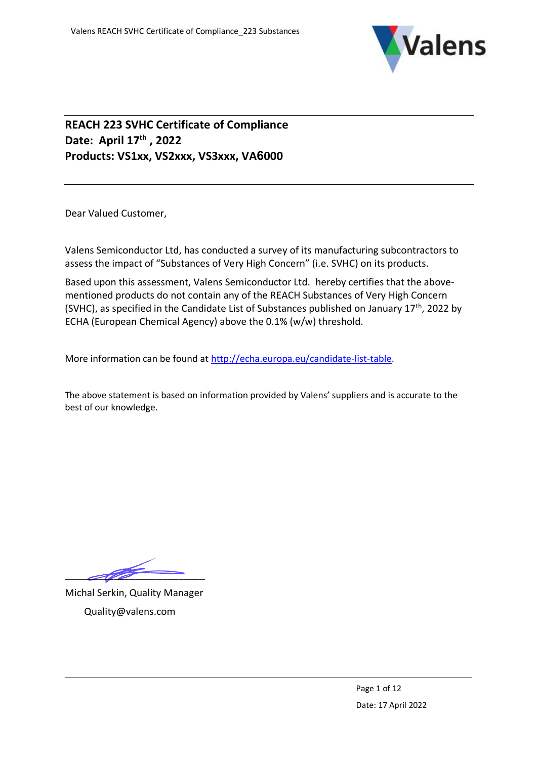

## **REACH 223 SVHC Certificate of Compliance Date: April 17th , 2022 Products: VS1xx, VS2xxx, VS3xxx, VA6000**

Dear Valued Customer,

Valens Semiconductor Ltd, has conducted a survey of its manufacturing subcontractors to assess the impact of "Substances of Very High Concern" (i.e. SVHC) on its products.

Based upon this assessment, Valens Semiconductor Ltd. hereby certifies that the abovementioned products do not contain any of the REACH Substances of Very High Concern (SVHC), as specified in the Candidate List of Substances published on January 17<sup>th</sup>, 2022 by ECHA (European Chemical Agency) above the 0.1% (w/w) threshold.

More information can be found at [http://echa.europa.eu/candidate-list-table.](http://echa.europa.eu/candidate-list-table)

The above statement is based on information provided by Valens' suppliers and is accurate to the best of our knowledge.

 $\overline{\mathscr{M}}$ 

Michal Serkin, Quality Manager Quality@valens.com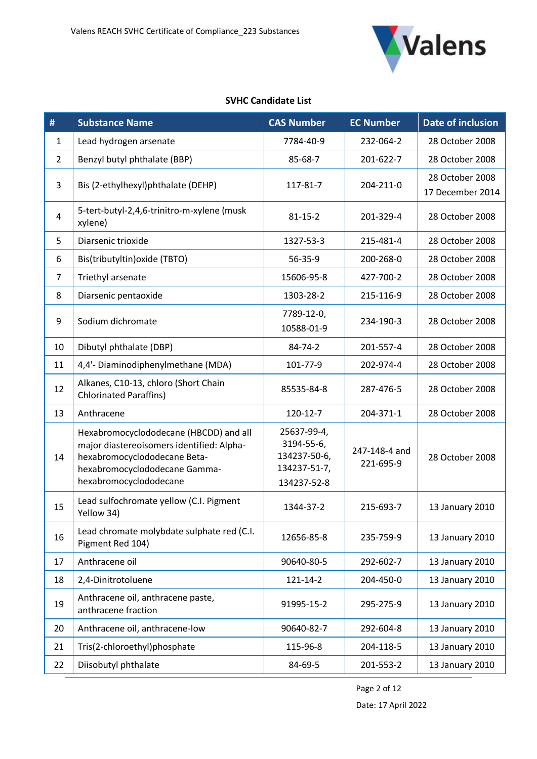

## **SVHC Candidate List**

| #              | <b>Substance Name</b>                                                                                                                                                          | <b>CAS Number</b>                                                        | <b>EC Number</b>           | <b>Date of inclusion</b>            |
|----------------|--------------------------------------------------------------------------------------------------------------------------------------------------------------------------------|--------------------------------------------------------------------------|----------------------------|-------------------------------------|
| 1              | Lead hydrogen arsenate                                                                                                                                                         | 7784-40-9                                                                | 232-064-2                  | 28 October 2008                     |
| $\overline{2}$ | Benzyl butyl phthalate (BBP)                                                                                                                                                   | 85-68-7                                                                  | 201-622-7                  | 28 October 2008                     |
| 3              | Bis (2-ethylhexyl)phthalate (DEHP)                                                                                                                                             | 117-81-7                                                                 | 204-211-0                  | 28 October 2008<br>17 December 2014 |
| $\overline{4}$ | 5-tert-butyl-2,4,6-trinitro-m-xylene (musk<br>xylene)                                                                                                                          | $81 - 15 - 2$                                                            | 201-329-4                  | 28 October 2008                     |
| 5              | Diarsenic trioxide                                                                                                                                                             | 1327-53-3                                                                | 215-481-4                  | 28 October 2008                     |
| 6              | Bis(tributyltin) oxide (TBTO)                                                                                                                                                  | 56-35-9                                                                  | 200-268-0                  | 28 October 2008                     |
| $\overline{7}$ | Triethyl arsenate                                                                                                                                                              | 15606-95-8                                                               | 427-700-2                  | 28 October 2008                     |
| 8              | Diarsenic pentaoxide                                                                                                                                                           | 1303-28-2                                                                | 215-116-9                  | 28 October 2008                     |
| 9              | Sodium dichromate                                                                                                                                                              | 7789-12-0,<br>10588-01-9                                                 | 234-190-3                  | 28 October 2008                     |
| 10             | Dibutyl phthalate (DBP)                                                                                                                                                        | 84-74-2                                                                  | 201-557-4                  | 28 October 2008                     |
| 11             | 4,4'- Diaminodiphenylmethane (MDA)                                                                                                                                             | 101-77-9                                                                 | 202-974-4                  | 28 October 2008                     |
| 12             | Alkanes, C10-13, chloro (Short Chain<br><b>Chlorinated Paraffins)</b>                                                                                                          | 85535-84-8                                                               | 287-476-5                  | 28 October 2008                     |
| 13             | Anthracene                                                                                                                                                                     | 120-12-7                                                                 | 204-371-1                  | 28 October 2008                     |
| 14             | Hexabromocyclododecane (HBCDD) and all<br>major diastereoisomers identified: Alpha-<br>hexabromocyclododecane Beta-<br>hexabromocyclododecane Gamma-<br>hexabromocyclododecane | 25637-99-4,<br>3194-55-6,<br>134237-50-6,<br>134237-51-7,<br>134237-52-8 | 247-148-4 and<br>221-695-9 | 28 October 2008                     |
| 15             | Lead sulfochromate yellow (C.I. Pigment<br>Yellow 34)                                                                                                                          | 1344-37-2                                                                | 215-693-7                  | 13 January 2010                     |
| 16             | Lead chromate molybdate sulphate red (C.I.<br>Pigment Red 104)                                                                                                                 | 12656-85-8                                                               | 235-759-9                  | 13 January 2010                     |
| 17             | Anthracene oil                                                                                                                                                                 | 90640-80-5                                                               | 292-602-7                  | 13 January 2010                     |
| 18             | 2,4-Dinitrotoluene                                                                                                                                                             | 121-14-2                                                                 | 204-450-0                  | 13 January 2010                     |
| 19             | Anthracene oil, anthracene paste,<br>anthracene fraction                                                                                                                       | 91995-15-2                                                               | 295-275-9                  | 13 January 2010                     |
| 20             | Anthracene oil, anthracene-low                                                                                                                                                 | 90640-82-7                                                               | 292-604-8                  | 13 January 2010                     |
| 21             | Tris(2-chloroethyl)phosphate                                                                                                                                                   | 115-96-8                                                                 | 204-118-5                  | 13 January 2010                     |
| 22             | Diisobutyl phthalate                                                                                                                                                           | 84-69-5                                                                  | 201-553-2                  | 13 January 2010                     |

Page 2 of 12

Date: 17 April 2022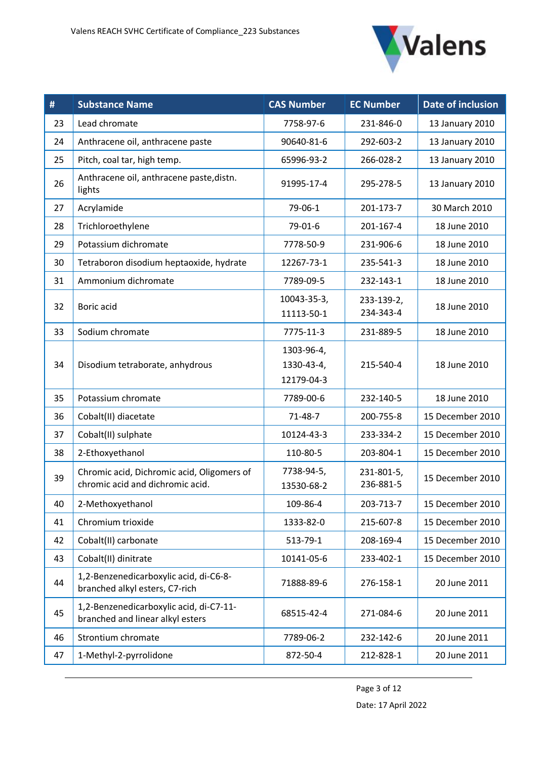

| #  | <b>Substance Name</b>                                                          | <b>CAS Number</b>                      | <b>EC Number</b>        | <b>Date of inclusion</b> |
|----|--------------------------------------------------------------------------------|----------------------------------------|-------------------------|--------------------------|
| 23 | Lead chromate                                                                  | 7758-97-6                              | 231-846-0               | 13 January 2010          |
| 24 | Anthracene oil, anthracene paste                                               | 90640-81-6                             | 292-603-2               | 13 January 2010          |
| 25 | Pitch, coal tar, high temp.                                                    | 65996-93-2                             | 266-028-2               | 13 January 2010          |
| 26 | Anthracene oil, anthracene paste, distn.<br>lights                             | 91995-17-4                             | 295-278-5               | 13 January 2010          |
| 27 | Acrylamide                                                                     | 79-06-1                                | 201-173-7               | 30 March 2010            |
| 28 | Trichloroethylene                                                              | 79-01-6                                | 201-167-4               | 18 June 2010             |
| 29 | Potassium dichromate                                                           | 7778-50-9                              | 231-906-6               | 18 June 2010             |
| 30 | Tetraboron disodium heptaoxide, hydrate                                        | 12267-73-1                             | 235-541-3               | 18 June 2010             |
| 31 | Ammonium dichromate                                                            | 7789-09-5                              | 232-143-1               | 18 June 2010             |
| 32 | Boric acid                                                                     | 10043-35-3,<br>11113-50-1              | 233-139-2,<br>234-343-4 | 18 June 2010             |
| 33 | Sodium chromate                                                                | 7775-11-3                              | 231-889-5               | 18 June 2010             |
| 34 | Disodium tetraborate, anhydrous                                                | 1303-96-4,<br>1330-43-4,<br>12179-04-3 | 215-540-4               | 18 June 2010             |
| 35 | Potassium chromate                                                             | 7789-00-6                              | 232-140-5               | 18 June 2010             |
| 36 | Cobalt(II) diacetate                                                           | $71 - 48 - 7$                          | 200-755-8               | 15 December 2010         |
| 37 | Cobalt(II) sulphate                                                            | 10124-43-3                             | 233-334-2               | 15 December 2010         |
| 38 | 2-Ethoxyethanol                                                                | 110-80-5                               | 203-804-1               | 15 December 2010         |
| 39 | Chromic acid, Dichromic acid, Oligomers of<br>chromic acid and dichromic acid. | 7738-94-5,<br>13530-68-2               | 231-801-5,<br>236-881-5 | 15 December 2010         |
| 40 | 2-Methoxyethanol                                                               | 109-86-4                               | 203-713-7               | 15 December 2010         |
| 41 | Chromium trioxide                                                              | 1333-82-0                              | 215-607-8               | 15 December 2010         |
| 42 | Cobalt(II) carbonate                                                           | 513-79-1                               | 208-169-4               | 15 December 2010         |
| 43 | Cobalt(II) dinitrate                                                           | 10141-05-6                             | 233-402-1               | 15 December 2010         |
| 44 | 1,2-Benzenedicarboxylic acid, di-C6-8-<br>branched alkyl esters, C7-rich       | 71888-89-6                             | 276-158-1               | 20 June 2011             |
| 45 | 1,2-Benzenedicarboxylic acid, di-C7-11-<br>branched and linear alkyl esters    | 68515-42-4                             | 271-084-6               | 20 June 2011             |
| 46 | Strontium chromate                                                             | 7789-06-2                              | 232-142-6               | 20 June 2011             |
| 47 | 1-Methyl-2-pyrrolidone                                                         | 872-50-4                               | 212-828-1               | 20 June 2011             |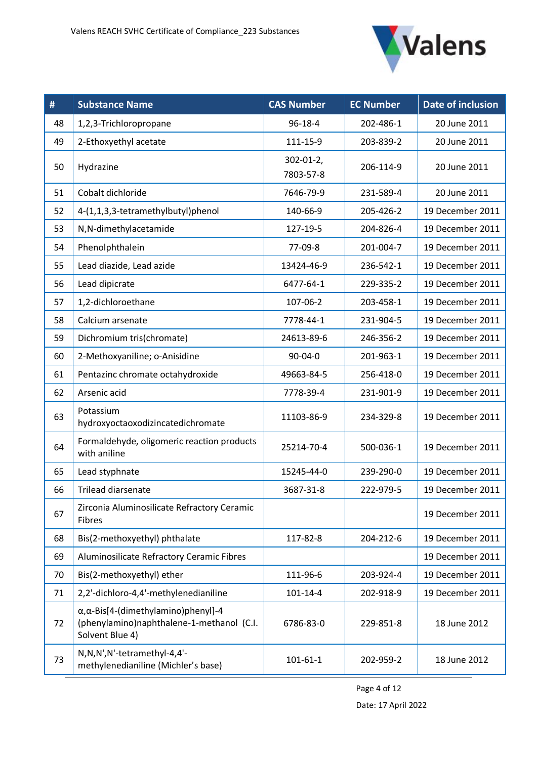

| #  | <b>Substance Name</b>                                                                                            | <b>CAS Number</b>           | <b>EC Number</b> | Date of inclusion |
|----|------------------------------------------------------------------------------------------------------------------|-----------------------------|------------------|-------------------|
| 48 | 1,2,3-Trichloropropane                                                                                           | 96-18-4                     | 202-486-1        | 20 June 2011      |
| 49 | 2-Ethoxyethyl acetate                                                                                            | 111-15-9                    | 203-839-2        | 20 June 2011      |
| 50 | Hydrazine                                                                                                        | $302 - 01 - 2$<br>7803-57-8 | 206-114-9        | 20 June 2011      |
| 51 | Cobalt dichloride                                                                                                | 7646-79-9                   | 231-589-4        | 20 June 2011      |
| 52 | 4-(1,1,3,3-tetramethylbutyl)phenol                                                                               | 140-66-9                    | 205-426-2        | 19 December 2011  |
| 53 | N,N-dimethylacetamide                                                                                            | 127-19-5                    | 204-826-4        | 19 December 2011  |
| 54 | Phenolphthalein                                                                                                  | 77-09-8                     | 201-004-7        | 19 December 2011  |
| 55 | Lead diazide, Lead azide                                                                                         | 13424-46-9                  | 236-542-1        | 19 December 2011  |
| 56 | Lead dipicrate                                                                                                   | 6477-64-1                   | 229-335-2        | 19 December 2011  |
| 57 | 1,2-dichloroethane                                                                                               | 107-06-2                    | 203-458-1        | 19 December 2011  |
| 58 | Calcium arsenate                                                                                                 | 7778-44-1                   | 231-904-5        | 19 December 2011  |
| 59 | Dichromium tris(chromate)                                                                                        | 24613-89-6                  | 246-356-2        | 19 December 2011  |
| 60 | 2-Methoxyaniline; o-Anisidine                                                                                    | $90 - 04 - 0$               | 201-963-1        | 19 December 2011  |
| 61 | Pentazinc chromate octahydroxide                                                                                 | 49663-84-5                  | 256-418-0        | 19 December 2011  |
| 62 | Arsenic acid                                                                                                     | 7778-39-4                   | 231-901-9        | 19 December 2011  |
| 63 | Potassium<br>hydroxyoctaoxodizincatedichromate                                                                   | 11103-86-9                  | 234-329-8        | 19 December 2011  |
| 64 | Formaldehyde, oligomeric reaction products<br>with aniline                                                       | 25214-70-4                  | 500-036-1        | 19 December 2011  |
| 65 | Lead styphnate                                                                                                   | 15245-44-0                  | 239-290-0        | 19 December 2011  |
| 66 | <b>Trilead diarsenate</b>                                                                                        | 3687-31-8                   | 222-979-5        | 19 December 2011  |
| 67 | Zirconia Aluminosilicate Refractory Ceramic<br>Fibres                                                            |                             |                  | 19 December 2011  |
| 68 | Bis(2-methoxyethyl) phthalate                                                                                    | 117-82-8                    | 204-212-6        | 19 December 2011  |
| 69 | Aluminosilicate Refractory Ceramic Fibres                                                                        |                             |                  | 19 December 2011  |
| 70 | Bis(2-methoxyethyl) ether                                                                                        | 111-96-6                    | 203-924-4        | 19 December 2011  |
| 71 | 2,2'-dichloro-4,4'-methylenedianiline                                                                            | $101 - 14 - 4$              | 202-918-9        | 19 December 2011  |
| 72 | $\alpha, \alpha$ -Bis[4-(dimethylamino)phenyl]-4<br>(phenylamino)naphthalene-1-methanol (C.I.<br>Solvent Blue 4) | 6786-83-0                   | 229-851-8        | 18 June 2012      |
| 73 | N,N,N',N'-tetramethyl-4,4'-<br>methylenedianiline (Michler's base)                                               | $101 - 61 - 1$              | 202-959-2        | 18 June 2012      |

Page 4 of 12

Date: 17 April 2022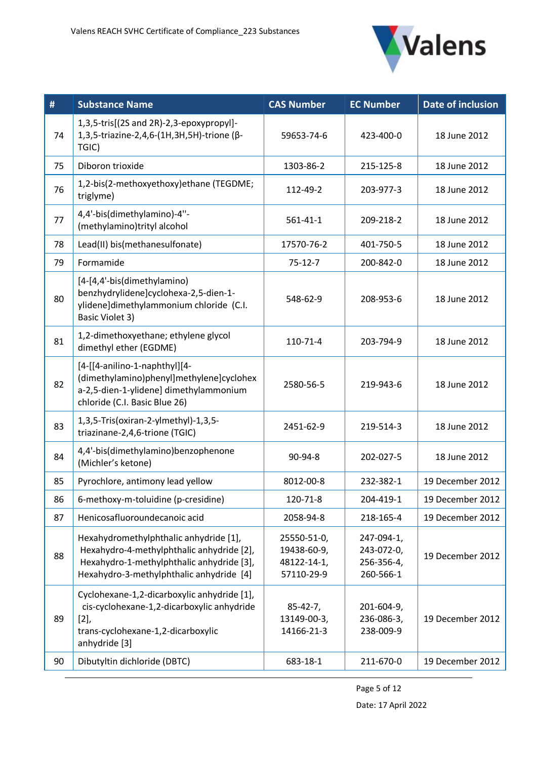

| #  | <b>Substance Name</b>                                                                                                                                                        | <b>CAS Number</b>                                       | <b>EC Number</b>                                    | Date of inclusion |
|----|------------------------------------------------------------------------------------------------------------------------------------------------------------------------------|---------------------------------------------------------|-----------------------------------------------------|-------------------|
| 74 | 1,3,5-tris[(2S and 2R)-2,3-epoxypropyl]-<br>1,3,5-triazine-2,4,6-(1H,3H,5H)-trione (β-<br>TGIC)                                                                              | 59653-74-6                                              | 423-400-0                                           | 18 June 2012      |
| 75 | Diboron trioxide                                                                                                                                                             | 1303-86-2                                               | 215-125-8                                           | 18 June 2012      |
| 76 | 1,2-bis(2-methoxyethoxy)ethane (TEGDME;<br>triglyme)                                                                                                                         | 112-49-2                                                | 203-977-3                                           | 18 June 2012      |
| 77 | 4,4'-bis(dimethylamino)-4"-<br>(methylamino)trityl alcohol                                                                                                                   | $561 - 41 - 1$                                          | 209-218-2                                           | 18 June 2012      |
| 78 | Lead(II) bis(methanesulfonate)                                                                                                                                               | 17570-76-2                                              | 401-750-5                                           | 18 June 2012      |
| 79 | Formamide                                                                                                                                                                    | $75 - 12 - 7$                                           | 200-842-0                                           | 18 June 2012      |
| 80 | [4-[4,4'-bis(dimethylamino)<br>benzhydrylidene]cyclohexa-2,5-dien-1-<br>ylidene]dimethylammonium chloride (C.I.<br><b>Basic Violet 3)</b>                                    | 548-62-9                                                | 208-953-6                                           | 18 June 2012      |
| 81 | 1,2-dimethoxyethane; ethylene glycol<br>dimethyl ether (EGDME)                                                                                                               | 110-71-4                                                | 203-794-9                                           | 18 June 2012      |
| 82 | [4-[[4-anilino-1-naphthyl][4-<br>(dimethylamino)phenyl]methylene]cyclohex<br>a-2,5-dien-1-ylidene] dimethylammonium<br>chloride (C.I. Basic Blue 26)                         | 2580-56-5                                               | 219-943-6                                           | 18 June 2012      |
| 83 | 1,3,5-Tris(oxiran-2-ylmethyl)-1,3,5-<br>triazinane-2,4,6-trione (TGIC)                                                                                                       | 2451-62-9                                               | 219-514-3                                           | 18 June 2012      |
| 84 | 4,4'-bis(dimethylamino)benzophenone<br>(Michler's ketone)                                                                                                                    | 90-94-8                                                 | 202-027-5                                           | 18 June 2012      |
| 85 | Pyrochlore, antimony lead yellow                                                                                                                                             | 8012-00-8                                               | 232-382-1                                           | 19 December 2012  |
| 86 | 6-methoxy-m-toluidine (p-cresidine)                                                                                                                                          | 120-71-8                                                | 204-419-1                                           | 19 December 2012  |
| 87 | Henicosafluoroundecanoic acid                                                                                                                                                | 2058-94-8                                               | 218-165-4                                           | 19 December 2012  |
| 88 | Hexahydromethylphthalic anhydride [1],<br>Hexahydro-4-methylphthalic anhydride [2],<br>Hexahydro-1-methylphthalic anhydride [3],<br>Hexahydro-3-methylphthalic anhydride [4] | 25550-51-0,<br>19438-60-9,<br>48122-14-1,<br>57110-29-9 | 247-094-1,<br>243-072-0,<br>256-356-4,<br>260-566-1 | 19 December 2012  |
| 89 | Cyclohexane-1,2-dicarboxylic anhydride [1],<br>cis-cyclohexane-1,2-dicarboxylic anhydride<br>[2]<br>trans-cyclohexane-1,2-dicarboxylic<br>anhydride [3]                      | $85-42-7,$<br>13149-00-3,<br>14166-21-3                 | 201-604-9,<br>236-086-3,<br>238-009-9               | 19 December 2012  |
| 90 | Dibutyltin dichloride (DBTC)                                                                                                                                                 | 683-18-1                                                | 211-670-0                                           | 19 December 2012  |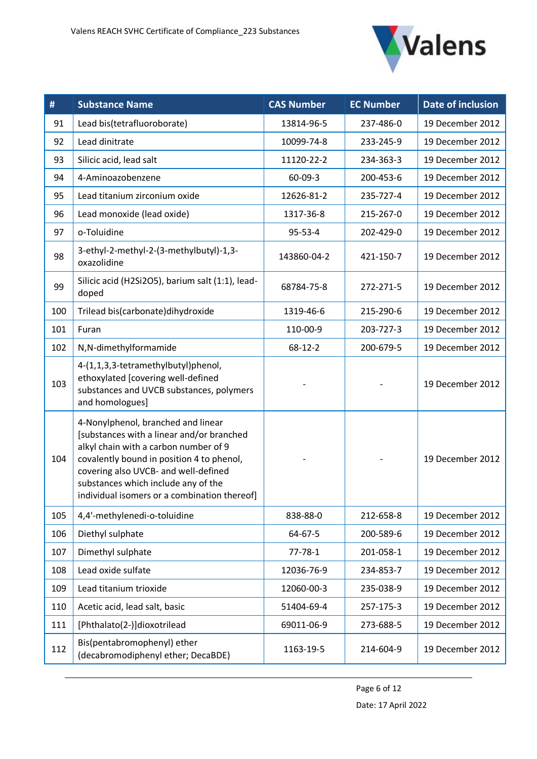

| #   | <b>Substance Name</b>                                                                                                                                                                                                                                                                                | <b>CAS Number</b> | <b>EC Number</b> | <b>Date of inclusion</b> |
|-----|------------------------------------------------------------------------------------------------------------------------------------------------------------------------------------------------------------------------------------------------------------------------------------------------------|-------------------|------------------|--------------------------|
| 91  | Lead bis(tetrafluoroborate)                                                                                                                                                                                                                                                                          | 13814-96-5        | 237-486-0        | 19 December 2012         |
| 92  | Lead dinitrate                                                                                                                                                                                                                                                                                       | 10099-74-8        | 233-245-9        | 19 December 2012         |
| 93  | Silicic acid, lead salt                                                                                                                                                                                                                                                                              | 11120-22-2        | 234-363-3        | 19 December 2012         |
| 94  | 4-Aminoazobenzene                                                                                                                                                                                                                                                                                    | 60-09-3           | 200-453-6        | 19 December 2012         |
| 95  | Lead titanium zirconium oxide                                                                                                                                                                                                                                                                        | 12626-81-2        | 235-727-4        | 19 December 2012         |
| 96  | Lead monoxide (lead oxide)                                                                                                                                                                                                                                                                           | 1317-36-8         | 215-267-0        | 19 December 2012         |
| 97  | o-Toluidine                                                                                                                                                                                                                                                                                          | $95 - 53 - 4$     | 202-429-0        | 19 December 2012         |
| 98  | 3-ethyl-2-methyl-2-(3-methylbutyl)-1,3-<br>oxazolidine                                                                                                                                                                                                                                               | 143860-04-2       | 421-150-7        | 19 December 2012         |
| 99  | Silicic acid (H2Si2O5), barium salt (1:1), lead-<br>doped                                                                                                                                                                                                                                            | 68784-75-8        | 272-271-5        | 19 December 2012         |
| 100 | Trilead bis(carbonate)dihydroxide                                                                                                                                                                                                                                                                    | 1319-46-6         | 215-290-6        | 19 December 2012         |
| 101 | Furan                                                                                                                                                                                                                                                                                                | 110-00-9          | 203-727-3        | 19 December 2012         |
| 102 | N,N-dimethylformamide                                                                                                                                                                                                                                                                                | $68 - 12 - 2$     | 200-679-5        | 19 December 2012         |
| 103 | 4-(1,1,3,3-tetramethylbutyl)phenol,<br>ethoxylated [covering well-defined<br>substances and UVCB substances, polymers<br>and homologues]                                                                                                                                                             |                   |                  | 19 December 2012         |
| 104 | 4-Nonylphenol, branched and linear<br>[substances with a linear and/or branched<br>alkyl chain with a carbon number of 9<br>covalently bound in position 4 to phenol,<br>covering also UVCB- and well-defined<br>substances which include any of the<br>individual isomers or a combination thereof] |                   |                  | 19 December 2012         |
| 105 | 4,4'-methylenedi-o-toluidine                                                                                                                                                                                                                                                                         | 838-88-0          | 212-658-8        | 19 December 2012         |
| 106 | Diethyl sulphate                                                                                                                                                                                                                                                                                     | 64-67-5           | 200-589-6        | 19 December 2012         |
| 107 | Dimethyl sulphate                                                                                                                                                                                                                                                                                    | $77 - 78 - 1$     | 201-058-1        | 19 December 2012         |
| 108 | Lead oxide sulfate                                                                                                                                                                                                                                                                                   | 12036-76-9        | 234-853-7        | 19 December 2012         |
| 109 | Lead titanium trioxide                                                                                                                                                                                                                                                                               | 12060-00-3        | 235-038-9        | 19 December 2012         |
| 110 | Acetic acid, lead salt, basic                                                                                                                                                                                                                                                                        | 51404-69-4        | 257-175-3        | 19 December 2012         |
| 111 | [Phthalato(2-)]dioxotrilead                                                                                                                                                                                                                                                                          | 69011-06-9        | 273-688-5        | 19 December 2012         |
| 112 | Bis(pentabromophenyl) ether<br>(decabromodiphenyl ether; DecaBDE)                                                                                                                                                                                                                                    | 1163-19-5         | 214-604-9        | 19 December 2012         |

Page 6 of 12 Date: 17 April 2022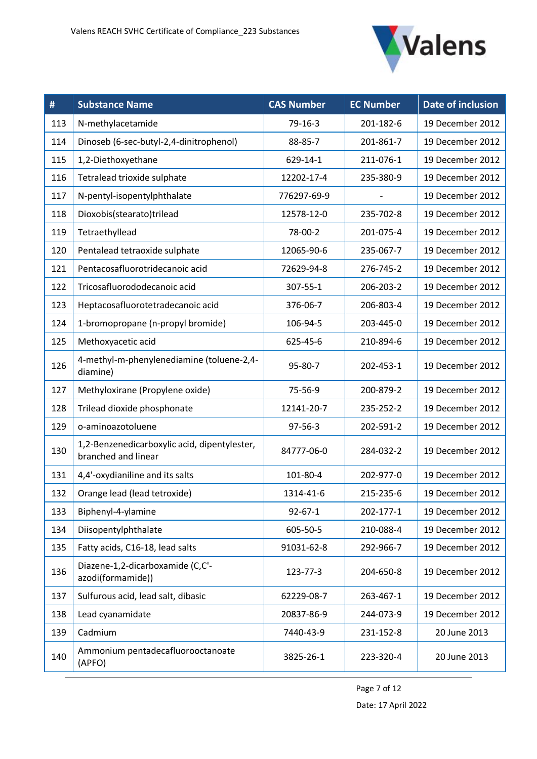

| #   | <b>Substance Name</b>                                               | <b>CAS Number</b> | <b>EC Number</b> | <b>Date of inclusion</b> |
|-----|---------------------------------------------------------------------|-------------------|------------------|--------------------------|
| 113 | N-methylacetamide                                                   | 79-16-3           | 201-182-6        | 19 December 2012         |
| 114 | Dinoseb (6-sec-butyl-2,4-dinitrophenol)                             | 88-85-7           | 201-861-7        | 19 December 2012         |
| 115 | 1,2-Diethoxyethane                                                  | 629-14-1          | 211-076-1        | 19 December 2012         |
| 116 | Tetralead trioxide sulphate                                         | 12202-17-4        | 235-380-9        | 19 December 2012         |
| 117 | N-pentyl-isopentylphthalate                                         | 776297-69-9       |                  | 19 December 2012         |
| 118 | Dioxobis(stearato)trilead                                           | 12578-12-0        | 235-702-8        | 19 December 2012         |
| 119 | Tetraethyllead                                                      | 78-00-2           | 201-075-4        | 19 December 2012         |
| 120 | Pentalead tetraoxide sulphate                                       | 12065-90-6        | 235-067-7        | 19 December 2012         |
| 121 | Pentacosafluorotridecanoic acid                                     | 72629-94-8        | 276-745-2        | 19 December 2012         |
| 122 | Tricosafluorododecanoic acid                                        | 307-55-1          | 206-203-2        | 19 December 2012         |
| 123 | Heptacosafluorotetradecanoic acid                                   | 376-06-7          | 206-803-4        | 19 December 2012         |
| 124 | 1-bromopropane (n-propyl bromide)                                   | 106-94-5          | 203-445-0        | 19 December 2012         |
| 125 | Methoxyacetic acid                                                  | 625-45-6          | 210-894-6        | 19 December 2012         |
| 126 | 4-methyl-m-phenylenediamine (toluene-2,4-<br>diamine)               | 95-80-7           | 202-453-1        | 19 December 2012         |
| 127 | Methyloxirane (Propylene oxide)                                     | 75-56-9           | 200-879-2        | 19 December 2012         |
| 128 | Trilead dioxide phosphonate                                         | 12141-20-7        | 235-252-2        | 19 December 2012         |
| 129 | o-aminoazotoluene                                                   | 97-56-3           | 202-591-2        | 19 December 2012         |
| 130 | 1,2-Benzenedicarboxylic acid, dipentylester,<br>branched and linear | 84777-06-0        | 284-032-2        | 19 December 2012         |
| 131 | 4,4'-oxydianiline and its salts                                     | 101-80-4          | 202-977-0        | 19 December 2012         |
| 132 | Orange lead (lead tetroxide)                                        | 1314-41-6         | 215-235-6        | 19 December 2012         |
| 133 | Biphenyl-4-ylamine                                                  | $92 - 67 - 1$     | 202-177-1        | 19 December 2012         |
| 134 | Diisopentylphthalate                                                | 605-50-5          | 210-088-4        | 19 December 2012         |
| 135 | Fatty acids, C16-18, lead salts                                     | 91031-62-8        | 292-966-7        | 19 December 2012         |
| 136 | Diazene-1,2-dicarboxamide (C,C'-<br>azodi(formamide))               | 123-77-3          | 204-650-8        | 19 December 2012         |
| 137 | Sulfurous acid, lead salt, dibasic                                  | 62229-08-7        | 263-467-1        | 19 December 2012         |
| 138 | Lead cyanamidate                                                    | 20837-86-9        | 244-073-9        | 19 December 2012         |
| 139 | Cadmium                                                             | 7440-43-9         | 231-152-8        | 20 June 2013             |
| 140 | Ammonium pentadecafluorooctanoate<br>(APFO)                         | 3825-26-1         | 223-320-4        | 20 June 2013             |

Page 7 of 12 Date: 17 April 2022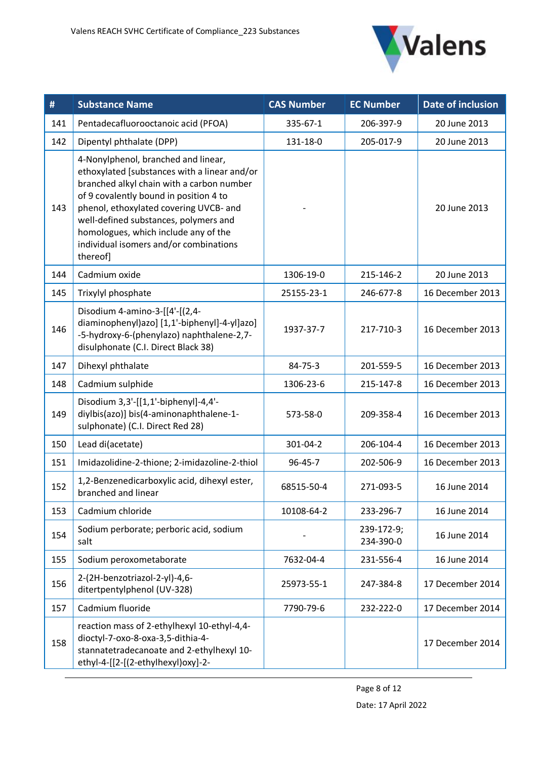

| #   | <b>Substance Name</b>                                                                                                                                                                                                                                                                                                                                       | <b>CAS Number</b> | <b>EC Number</b>        | Date of inclusion |
|-----|-------------------------------------------------------------------------------------------------------------------------------------------------------------------------------------------------------------------------------------------------------------------------------------------------------------------------------------------------------------|-------------------|-------------------------|-------------------|
| 141 | Pentadecafluorooctanoic acid (PFOA)                                                                                                                                                                                                                                                                                                                         | 335-67-1          | 206-397-9               | 20 June 2013      |
| 142 | Dipentyl phthalate (DPP)                                                                                                                                                                                                                                                                                                                                    | 131-18-0          | 205-017-9               | 20 June 2013      |
| 143 | 4-Nonylphenol, branched and linear,<br>ethoxylated [substances with a linear and/or<br>branched alkyl chain with a carbon number<br>of 9 covalently bound in position 4 to<br>phenol, ethoxylated covering UVCB- and<br>well-defined substances, polymers and<br>homologues, which include any of the<br>individual isomers and/or combinations<br>thereof] |                   |                         | 20 June 2013      |
| 144 | Cadmium oxide                                                                                                                                                                                                                                                                                                                                               | 1306-19-0         | 215-146-2               | 20 June 2013      |
| 145 | Trixylyl phosphate                                                                                                                                                                                                                                                                                                                                          | 25155-23-1        | 246-677-8               | 16 December 2013  |
| 146 | Disodium 4-amino-3-[[4'-[(2,4-<br>diaminophenyl)azo] [1,1'-biphenyl]-4-yl]azo]<br>-5-hydroxy-6-(phenylazo) naphthalene-2,7-<br>disulphonate (C.I. Direct Black 38)                                                                                                                                                                                          | 1937-37-7         | 217-710-3               | 16 December 2013  |
| 147 | Dihexyl phthalate                                                                                                                                                                                                                                                                                                                                           | $84 - 75 - 3$     | 201-559-5               | 16 December 2013  |
| 148 | Cadmium sulphide                                                                                                                                                                                                                                                                                                                                            | 1306-23-6         | 215-147-8               | 16 December 2013  |
| 149 | Disodium 3,3'-[[1,1'-biphenyl]-4,4'-<br>diylbis(azo)] bis(4-aminonaphthalene-1-<br>sulphonate) (C.I. Direct Red 28)                                                                                                                                                                                                                                         | 573-58-0          | 209-358-4               | 16 December 2013  |
| 150 | Lead di(acetate)                                                                                                                                                                                                                                                                                                                                            | 301-04-2          | 206-104-4               | 16 December 2013  |
| 151 | Imidazolidine-2-thione; 2-imidazoline-2-thiol                                                                                                                                                                                                                                                                                                               | 96-45-7           | 202-506-9               | 16 December 2013  |
| 152 | 1,2-Benzenedicarboxylic acid, dihexyl ester,<br>branched and linear                                                                                                                                                                                                                                                                                         | 68515-50-4        | 271-093-5               | 16 June 2014      |
| 153 | Cadmium chloride                                                                                                                                                                                                                                                                                                                                            | 10108-64-2        | 233-296-7               | 16 June 2014      |
| 154 | Sodium perborate; perboric acid, sodium<br>salt                                                                                                                                                                                                                                                                                                             |                   | 239-172-9;<br>234-390-0 | 16 June 2014      |
| 155 | Sodium peroxometaborate                                                                                                                                                                                                                                                                                                                                     | 7632-04-4         | 231-556-4               | 16 June 2014      |
| 156 | 2-(2H-benzotriazol-2-yl)-4,6-<br>ditertpentylphenol (UV-328)                                                                                                                                                                                                                                                                                                | 25973-55-1        | 247-384-8               | 17 December 2014  |
| 157 | Cadmium fluoride                                                                                                                                                                                                                                                                                                                                            | 7790-79-6         | 232-222-0               | 17 December 2014  |
| 158 | reaction mass of 2-ethylhexyl 10-ethyl-4,4-<br>dioctyl-7-oxo-8-oxa-3,5-dithia-4-<br>stannatetradecanoate and 2-ethylhexyl 10-<br>ethyl-4-[[2-[(2-ethylhexyl)oxy]-2-                                                                                                                                                                                         |                   |                         | 17 December 2014  |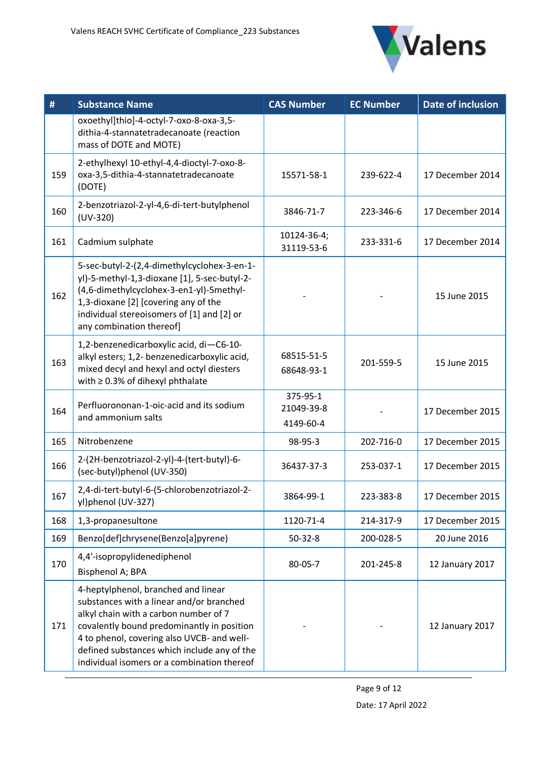

| #   | <b>Substance Name</b>                                                                                                                                                                                                                                                                                              | <b>CAS Number</b>                   | <b>EC Number</b> | <b>Date of inclusion</b> |
|-----|--------------------------------------------------------------------------------------------------------------------------------------------------------------------------------------------------------------------------------------------------------------------------------------------------------------------|-------------------------------------|------------------|--------------------------|
|     | oxoethyl]thio]-4-octyl-7-oxo-8-oxa-3,5-<br>dithia-4-stannatetradecanoate (reaction<br>mass of DOTE and MOTE)                                                                                                                                                                                                       |                                     |                  |                          |
| 159 | 2-ethylhexyl 10-ethyl-4,4-dioctyl-7-oxo-8-<br>oxa-3,5-dithia-4-stannatetradecanoate<br>(DOTE)                                                                                                                                                                                                                      | 15571-58-1                          | 239-622-4        | 17 December 2014         |
| 160 | 2-benzotriazol-2-yl-4,6-di-tert-butylphenol<br>$(UV-320)$                                                                                                                                                                                                                                                          | 3846-71-7                           | 223-346-6        | 17 December 2014         |
| 161 | Cadmium sulphate                                                                                                                                                                                                                                                                                                   | 10124-36-4;<br>31119-53-6           | 233-331-6        | 17 December 2014         |
| 162 | 5-sec-butyl-2-(2,4-dimethylcyclohex-3-en-1-<br>yl)-5-methyl-1,3-dioxane [1], 5-sec-butyl-2-<br>(4,6-dimethylcyclohex-3-en1-yl)-5methyl-<br>1,3-dioxane [2] [covering any of the<br>individual stereoisomers of [1] and [2] or<br>any combination thereof]                                                          |                                     |                  | 15 June 2015             |
| 163 | 1,2-benzenedicarboxylic acid, di-C6-10-<br>alkyl esters; 1,2- benzenedicarboxylic acid,<br>mixed decyl and hexyl and octyl diesters<br>with $\geq$ 0.3% of dihexyl phthalate                                                                                                                                       | 68515-51-5<br>68648-93-1            | 201-559-5        | 15 June 2015             |
| 164 | Perfluorononan-1-oic-acid and its sodium<br>and ammonium salts                                                                                                                                                                                                                                                     | 375-95-1<br>21049-39-8<br>4149-60-4 |                  | 17 December 2015         |
| 165 | Nitrobenzene                                                                                                                                                                                                                                                                                                       | 98-95-3                             | 202-716-0        | 17 December 2015         |
| 166 | 2-(2H-benzotriazol-2-yl)-4-(tert-butyl)-6-<br>(sec-butyl)phenol (UV-350)                                                                                                                                                                                                                                           | 36437-37-3                          | 253-037-1        | 17 December 2015         |
| 167 | 2,4-di-tert-butyl-6-(5-chlorobenzotriazol-2-<br>yl)phenol (UV-327)                                                                                                                                                                                                                                                 | 3864-99-1                           | 223-383-8        | 17 December 2015         |
| 168 | 1,3-propanesultone                                                                                                                                                                                                                                                                                                 | 1120-71-4                           | 214-317-9        | 17 December 2015         |
| 169 | Benzo[def]chrysene(Benzo[a]pyrene)                                                                                                                                                                                                                                                                                 | $50-32-8$                           | 200-028-5        | 20 June 2016             |
| 170 | 4,4'-isopropylidenediphenol<br>Bisphenol A; BPA                                                                                                                                                                                                                                                                    | 80-05-7                             | 201-245-8        | 12 January 2017          |
| 171 | 4-heptylphenol, branched and linear<br>substances with a linear and/or branched<br>alkyl chain with a carbon number of 7<br>covalently bound predominantly in position<br>4 to phenol, covering also UVCB- and well-<br>defined substances which include any of the<br>individual isomers or a combination thereof |                                     |                  | 12 January 2017          |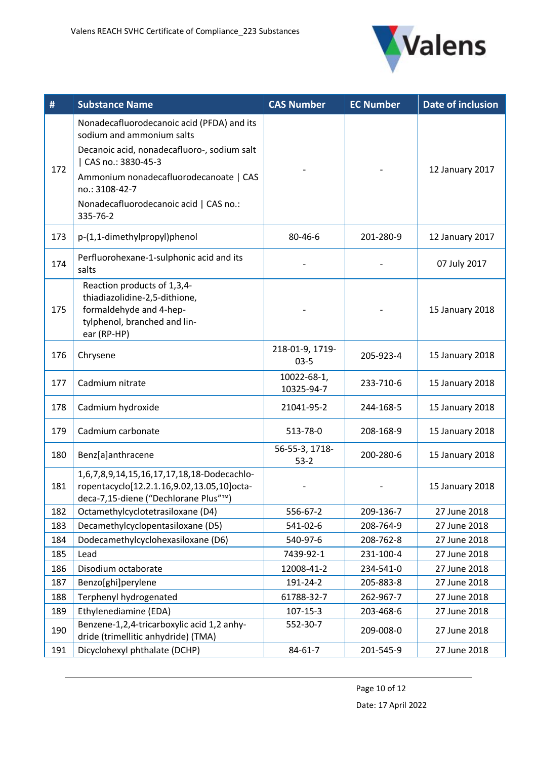

| #   | <b>Substance Name</b>                                                                                                                                                                                                                                          | <b>CAS Number</b>         | <b>EC Number</b> | Date of inclusion |
|-----|----------------------------------------------------------------------------------------------------------------------------------------------------------------------------------------------------------------------------------------------------------------|---------------------------|------------------|-------------------|
| 172 | Nonadecafluorodecanoic acid (PFDA) and its<br>sodium and ammonium salts<br>Decanoic acid, nonadecafluoro-, sodium salt<br>CAS no.: 3830-45-3<br>Ammonium nonadecafluorodecanoate   CAS<br>no.: 3108-42-7<br>Nonadecafluorodecanoic acid   CAS no.:<br>335-76-2 |                           |                  | 12 January 2017   |
| 173 | p-(1,1-dimethylpropyl)phenol                                                                                                                                                                                                                                   | 80-46-6                   | 201-280-9        | 12 January 2017   |
| 174 | Perfluorohexane-1-sulphonic acid and its<br>salts                                                                                                                                                                                                              |                           |                  | 07 July 2017      |
| 175 | Reaction products of 1,3,4-<br>thiadiazolidine-2,5-dithione,<br>formaldehyde and 4-hep-<br>tylphenol, branched and lin-<br>ear (RP-HP)                                                                                                                         |                           |                  | 15 January 2018   |
| 176 | Chrysene                                                                                                                                                                                                                                                       | 218-01-9, 1719-<br>$03-5$ | 205-923-4        | 15 January 2018   |
| 177 | Cadmium nitrate                                                                                                                                                                                                                                                | 10022-68-1,<br>10325-94-7 | 233-710-6        | 15 January 2018   |
| 178 | Cadmium hydroxide                                                                                                                                                                                                                                              | 21041-95-2                | 244-168-5        | 15 January 2018   |
| 179 | Cadmium carbonate                                                                                                                                                                                                                                              | 513-78-0                  | 208-168-9        | 15 January 2018   |
| 180 | Benz[a]anthracene                                                                                                                                                                                                                                              | 56-55-3, 1718-<br>$53-2$  | 200-280-6        | 15 January 2018   |
| 181 | 1,6,7,8,9,14,15,16,17,17,18,18-Dodecachlo-<br>ropentacyclo[12.2.1.16,9.02,13.05,10]octa-<br>deca-7,15-diene ("Dechlorane Plus"™)                                                                                                                               |                           |                  | 15 January 2018   |
| 182 | Octamethylcyclotetrasiloxane (D4)                                                                                                                                                                                                                              | 556-67-2                  | 209-136-7        | 27 June 2018      |
| 183 | Decamethylcyclopentasiloxane (D5)                                                                                                                                                                                                                              | 541-02-6                  | 208-764-9        | 27 June 2018      |
| 184 | Dodecamethylcyclohexasiloxane (D6)                                                                                                                                                                                                                             | 540-97-6                  | 208-762-8        | 27 June 2018      |
| 185 | Lead                                                                                                                                                                                                                                                           | 7439-92-1                 | 231-100-4        | 27 June 2018      |
| 186 | Disodium octaborate                                                                                                                                                                                                                                            | 12008-41-2                | 234-541-0        | 27 June 2018      |
| 187 | Benzo[ghi]perylene                                                                                                                                                                                                                                             | 191-24-2                  | 205-883-8        | 27 June 2018      |
| 188 | Terphenyl hydrogenated                                                                                                                                                                                                                                         | 61788-32-7                | 262-967-7        | 27 June 2018      |
| 189 | Ethylenediamine (EDA)                                                                                                                                                                                                                                          | $107 - 15 - 3$            | 203-468-6        | 27 June 2018      |
| 190 | Benzene-1,2,4-tricarboxylic acid 1,2 anhy-<br>dride (trimellitic anhydride) (TMA)                                                                                                                                                                              | 552-30-7                  | 209-008-0        | 27 June 2018      |
| 191 | Dicyclohexyl phthalate (DCHP)                                                                                                                                                                                                                                  | $84 - 61 - 7$             | 201-545-9        | 27 June 2018      |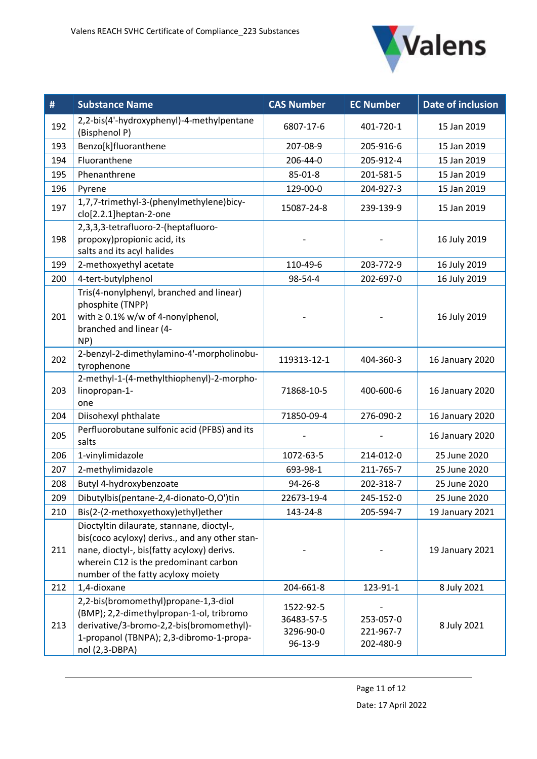

| #   | <b>Substance Name</b>                                                                                                                                                                                                    | <b>CAS Number</b>                               | <b>EC Number</b>                    | Date of inclusion |
|-----|--------------------------------------------------------------------------------------------------------------------------------------------------------------------------------------------------------------------------|-------------------------------------------------|-------------------------------------|-------------------|
| 192 | 2,2-bis(4'-hydroxyphenyl)-4-methylpentane<br>(Bisphenol P)                                                                                                                                                               | 6807-17-6                                       | 401-720-1                           | 15 Jan 2019       |
| 193 | Benzo[k]fluoranthene                                                                                                                                                                                                     | 207-08-9                                        | 205-916-6                           | 15 Jan 2019       |
| 194 | Fluoranthene                                                                                                                                                                                                             | 206-44-0                                        | 205-912-4                           | 15 Jan 2019       |
| 195 | Phenanthrene                                                                                                                                                                                                             | 85-01-8                                         | 201-581-5                           | 15 Jan 2019       |
| 196 | Pyrene                                                                                                                                                                                                                   | 129-00-0                                        | 204-927-3                           | 15 Jan 2019       |
| 197 | 1,7,7-trimethyl-3-(phenylmethylene)bicy-<br>clo[2.2.1]heptan-2-one                                                                                                                                                       | 15087-24-8                                      | 239-139-9                           | 15 Jan 2019       |
| 198 | 2,3,3,3-tetrafluoro-2-(heptafluoro-<br>propoxy) propionic acid, its<br>salts and its acyl halides                                                                                                                        |                                                 |                                     | 16 July 2019      |
| 199 | 2-methoxyethyl acetate                                                                                                                                                                                                   | 110-49-6                                        | 203-772-9                           | 16 July 2019      |
| 200 | 4-tert-butylphenol                                                                                                                                                                                                       | 98-54-4                                         | 202-697-0                           | 16 July 2019      |
| 201 | Tris(4-nonylphenyl, branched and linear)<br>phosphite (TNPP)<br>with $\geq$ 0.1% w/w of 4-nonylphenol,<br>branched and linear (4-<br>NP)                                                                                 |                                                 |                                     | 16 July 2019      |
| 202 | 2-benzyl-2-dimethylamino-4'-morpholinobu-<br>tyrophenone                                                                                                                                                                 | 119313-12-1                                     | 404-360-3                           | 16 January 2020   |
| 203 | 2-methyl-1-(4-methylthiophenyl)-2-morpho-<br>linopropan-1-<br>one                                                                                                                                                        | 71868-10-5                                      | 400-600-6                           | 16 January 2020   |
| 204 | Diisohexyl phthalate                                                                                                                                                                                                     | 71850-09-4                                      | 276-090-2                           | 16 January 2020   |
| 205 | Perfluorobutane sulfonic acid (PFBS) and its<br>salts                                                                                                                                                                    |                                                 |                                     | 16 January 2020   |
| 206 | 1-vinylimidazole                                                                                                                                                                                                         | 1072-63-5                                       | 214-012-0                           | 25 June 2020      |
| 207 | 2-methylimidazole                                                                                                                                                                                                        | 693-98-1                                        | 211-765-7                           | 25 June 2020      |
| 208 | Butyl 4-hydroxybenzoate                                                                                                                                                                                                  | 94-26-8                                         | 202-318-7                           | 25 June 2020      |
| 209 | Dibutylbis(pentane-2,4-dionato-O,O')tin                                                                                                                                                                                  | 22673-19-4                                      | 245-152-0                           | 25 June 2020      |
| 210 | Bis(2-(2-methoxyethoxy)ethyl)ether                                                                                                                                                                                       | 143-24-8                                        | 205-594-7                           | 19 January 2021   |
| 211 | Dioctyltin dilaurate, stannane, dioctyl-,<br>bis(coco acyloxy) derivs., and any other stan-<br>nane, dioctyl-, bis(fatty acyloxy) derivs.<br>wherein C12 is the predominant carbon<br>number of the fatty acyloxy moiety |                                                 |                                     | 19 January 2021   |
| 212 | 1,4-dioxane                                                                                                                                                                                                              | 204-661-8                                       | 123-91-1                            | 8 July 2021       |
| 213 | 2,2-bis(bromomethyl)propane-1,3-diol<br>(BMP); 2,2-dimethylpropan-1-ol, tribromo<br>derivative/3-bromo-2,2-bis(bromomethyl)-<br>1-propanol (TBNPA); 2,3-dibromo-1-propa-<br>nol (2,3-DBPA)                               | 1522-92-5<br>36483-57-5<br>3296-90-0<br>96-13-9 | 253-057-0<br>221-967-7<br>202-480-9 | 8 July 2021       |